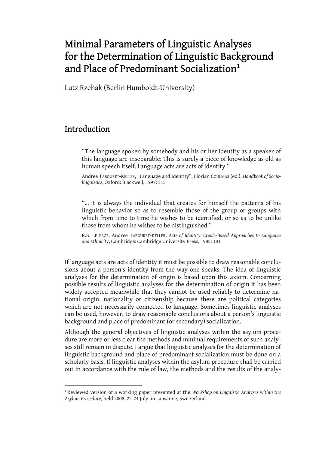# Minimal Parameters of Linguistic Analyses for the Determination of Linguistic Background and Place of Predominant Socialization<sup>[1](#page-0-0)</sup>

Lutz Rzehak (Berlin Humboldt-University)

### Introduction

 $\overline{a}$ 

"The language spoken by somebody and his or her identity as a speaker of this language are inseparable: This is surely a piece of knowledge as old as human speech itself. Language acts are acts of identity."

Andree TABOURET-KELLER, "Language and Identity", Florian COULMAS (ed.), *Handbook of Sociolinguistics*, Oxford: Blackwell, 1997: 315

"… it is always the individual that creates for himself the patterns of his linguistic behavior so as to resemble those of the group or groups with which from time to time he wishes to be identified, or so as to be unlike those from whom he wishes to be distinguished."

R.B. LE PAGE, Andree TABOURET-KELLER, *Acts of Identity: Creole-Based Approaches to Language and Ethnicity*, Cambridge: Cambridge University Press, 1985: 181

If language acts are acts of identity it must be possible to draw reasonable conclusions about a person's identity from the way one speaks. The idea of linguistic analyses for the determination of origin is based upon this axiom. Concerning possible results of linguistic analyses for the determination of origin it has been widely accepted meanwhile that they cannot be used reliably to determine national origin, nationality or citizenship because these are political categories which are not necessarily connected to language. Sometimes linguistic analyses can be used, however, to draw reasonable conclusions about a person's linguistic background and place of predominant (or secondary) socialization.

Although the general objectives of linguistic analyses within the asylum procedure are more or less clear the methods and minimal requirements of such analyses still remain in dispute. I argue that linguistic analyses for the determination of linguistic background and place of predominant socialization must be done on a scholarly basis. If linguistic analyses within the asylum procedure shall be carried out in accordance with the rule of law, the methods and the results of the analy-

<span id="page-0-0"></span><sup>1</sup> Reviewed version of a working paper presented at the *Workshop on Linguistic Analyses within the Asylum Procedure*, held 2008, 22-24 July, in Lausanne, Switzerland.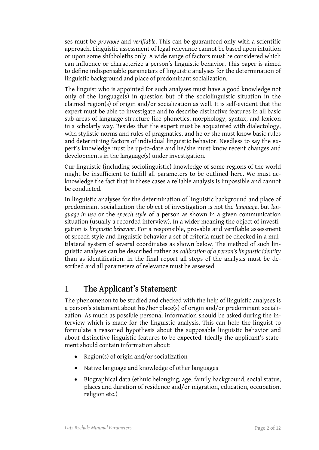ses must be *provable* and *verifiable*. This can be guaranteed only with a scientific approach. Linguistic assessment of legal relevance cannot be based upon intuition or upon some shibboleths only. A wide range of factors must be considered which can influence or characterize a person's linguistic behavior. This paper is aimed to define indispensable parameters of linguistic analyses for the determination of linguistic background and place of predominant socialization.

The linguist who is appointed for such analyses must have a good knowledge not only of the language(s) in question but of the sociolinguistic situation in the claimed region(s) of origin and/or socialization as well. It is self-evident that the expert must be able to investigate and to describe distinctive features in all basic sub-areas of language structure like phonetics, morphology, syntax, and lexicon in a scholarly way. Besides that the expert must be acquainted with dialectology, with stylistic norms and rules of pragmatics, and he or she must know basic rules and determining factors of individual linguistic behavior. Needless to say the expert's knowledge must be up-to-date and he/she must know recent changes and developments in the language(s) under investigation.

Our linguistic (including sociolinguistic) knowledge of some regions of the world might be insufficient to fulfill all parameters to be outlined here. We must acknowledge the fact that in these cases a reliable analysis is impossible and cannot be conducted.

In linguistic analyses for the determination of linguistic background and place of predominant socialization the object of investigation is not the *language*, but *language in use* or the *speech style* of a person as shown in a given communication situation (usually a recorded interview). In a wider meaning the object of investigation is *linguistic behavior*. For a responsible, provable and verifiable assessment of speech style and linguistic behavior a set of criteria must be checked in a multilateral system of several coordinates as shown below. The method of such linguistic analyses can be described rather as *calibration of a person's linguistic identity*  than as identification. In the final report all steps of the analysis must be described and all parameters of relevance must be assessed.

## 1 The Applicant's Statement

The phenomenon to be studied and checked with the help of linguistic analyses is a person's statement about his/her place(s) of origin and/or predominant socialization. As much as possible personal information should be asked during the interview which is made for the linguistic analysis. This can help the linguist to formulate a reasoned hypothesis about the supposable linguistic behavior and about distinctive linguistic features to be expected. Ideally the applicant's statement should contain information about:

- Region(s) of origin and/or socialization
- Native language and knowledge of other languages
- Biographical data (ethnic belonging, age, family background, social status, places and duration of residence and/or migration, education, occupation, religion etc.)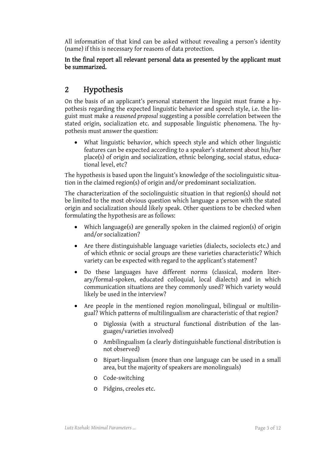All information of that kind can be asked without revealing a person's identity (name) if this is necessary for reasons of data protection.

#### In the final report all relevant personal data as presented by the applicant must be summarized.

## 2 Hypothesis

On the basis of an applicant's personal statement the linguist must frame a hypothesis regarding the expected linguistic behavior and speech style, i.e. the linguist must make a *reasoned proposal* suggesting a possible correlation between the stated origin, socialization etc. and supposable linguistic phenomena. The hypothesis must answer the question:

• What linguistic behavior, which speech style and which other linguistic features can be expected according to a speaker's statement about his/her place(s) of origin and socialization, ethnic belonging, social status, educational level, etc?

The hypothesis is based upon the linguist's knowledge of the sociolinguistic situation in the claimed region(s) of origin and/or predominant socialization.

The characterization of the sociolinguistic situation in that region(s) should not be limited to the most obvious question which language a person with the stated origin and socialization should likely speak. Other questions to be checked when formulating the hypothesis are as follows:

- Which language(s) are generally spoken in the claimed region(s) of origin and/or socialization?
- Are there distinguishable language varieties (dialects, sociolects etc.) and of which ethnic or social groups are these varieties characteristic? Which variety can be expected with regard to the applicant's statement?
- Do these languages have different norms (classical, modern literary/formal-spoken, educated colloquial, local dialects) and in which communication situations are they commonly used? Which variety would likely be used in the interview?
- Are people in the mentioned region monolingual, bilingual or multilingual? Which patterns of multilingualism are characteristic of that region?
	- o Diglossia (with a structural functional distribution of the languages/varieties involved)
	- o Ambilingualism (a clearly distinguishable functional distribution is not observed)
	- o Bipart-lingualism (more than one language can be used in a small area, but the majority of speakers are monolinguals)
	- o Code-switching
	- o Pidgins, creoles etc.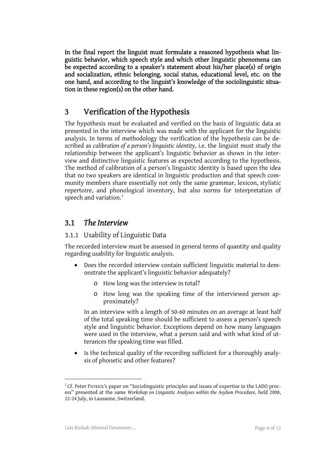In the final report the linguist must formulate a reasoned hypothesis what linguistic behavior, which speech style and which other linguistic phenomena can be expected according to a speaker's statement about his/her place(s) of origin and socialization, ethnic belonging, social status, educational level, etc. on the one hand, and according to the linguist's knowledge of the sociolinguistic situation in these region(s) on the other hand.

## 3 Verification of the Hypothesis

The hypothesis must be evaluated and verified on the basis of linguistic data as presented in the interview which was made with the applicant for the linguistic analysis. In terms of methodology the verification of the hypothesis can be described as *calibration of a person's linguistic identity*, i.e. the linguist must study the relationship between the applicant's linguistic behavior as shown in the interview and distinctive linguistic features as expected according to the hypothesis. The method of calibration of a person's linguistic identity is based upon the idea that no two speakers are identical in linguistic production and that speech community members share essentially not only the same grammar, lexicon, stylistic repertoire, and phonological inventory, but also norms for interpretation of speech and variation.<sup>[2](#page-3-0)</sup>

### 3.1 *The Interview*

### 3.1.1 Usability of Linguistic Data

The recorded interview must be assessed in general terms of quantity and quality regarding usability for linguistic analysis.

- Does the recorded interview contain sufficient linguistic material to demonstrate the applicant's linguistic behavior adequately?
	- o How long was the interview in total?
	- o How long was the speaking time of the interviewed person approximately?

In an interview with a length of 50-60 minutes on an average at least half of the total speaking time should be sufficient to assess a person's speech style and linguistic behavior. Exceptions depend on how many languages were used in the interview, what a person said and with what kind of utterances the speaking time was filled.

• Is the technical quality of the recording sufficient for a thoroughly analysis of phonetic and other features?

 $\overline{a}$ 

<span id="page-3-0"></span> $2^2$  Cf. Peter PATRICK's paper on "Sociolinguistic principles and issues of expertise in the LADO process" presented at the same *Workshop on Linguistic Analyses within the Asylum Procedure*, held 2008, 22-24 July, in Lausanne, Switzerland.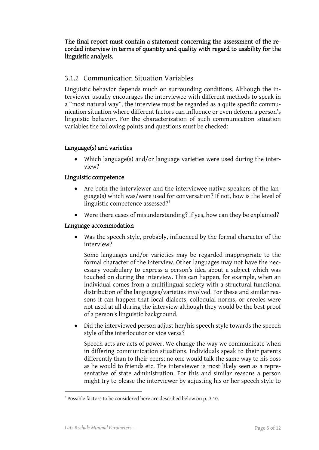The final report must contain a statement concerning the assessment of the recorded interview in terms of quantity and quality with regard to usability for the linguistic analysis.

### 3.1.2 Communication Situation Variables

Linguistic behavior depends much on surrounding conditions. Although the interviewer usually encourages the interviewee with different methods to speak in a "most natural way", the interview must be regarded as a quite specific communication situation where different factors can influence or even deform a person's linguistic behavior. For the characterization of such communication situation variables the following points and questions must be checked:

#### Language(s) and varieties

• Which language(s) and/or language varieties were used during the interview?

#### Linguistic competence

- Are both the interviewer and the interviewee native speakers of the language(s) which was/were used for conversation? If not, how is the level of linguistic competence assessed? $3^3$  $3^3$
- Were there cases of misunderstanding? If yes, how can they be explained?

#### Language accommodation

• Was the speech style, probably, influenced by the formal character of the interview?

Some languages and/or varieties may be regarded inappropriate to the formal character of the interview. Other languages may not have the necessary vocabulary to express a person's idea about a subject which was touched on during the interview. This can happen, for example, when an individual comes from a multilingual society with a structural functional distribution of the languages/varieties involved. For these and similar reasons it can happen that local dialects, colloquial norms, or creoles were not used at all during the interview although they would be the best proof of a person's linguistic background.

• Did the interviewed person adjust her/his speech style towards the speech style of the interlocutor or vice versa?

Speech acts are acts of power. We change the way we communicate when in differing communication situations. Individuals speak to their parents differently than to their peers; no one would talk the same way to his boss as he would to friends etc. The interviewer is most likely seen as a representative of state administration. For this and similar reasons a person might try to please the interviewer by adjusting his or her speech style to

 $\overline{a}$ 

<span id="page-4-0"></span> $3$  Possible factors to be considered here are described below on p. 9-10.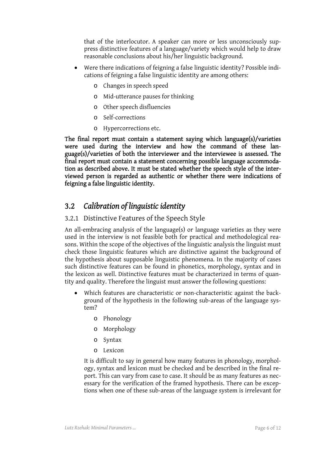that of the interlocutor. A speaker can more or less unconsciously suppress distinctive features of a language/variety which would help to draw reasonable conclusions about his/her linguistic background.

- Were there indications of feigning a false linguistic identity? Possible indications of feigning a false linguistic identity are among others:
	- o Changes in speech speed
	- o Mid-utterance pauses for thinking
	- o Other speech disfluencies
	- o Self-corrections
	- o Hypercorrections etc.

The final report must contain a statement saying which language(s)/varieties were used during the interview and how the command of these language(s)/varieties of both the interviewer and the interviewee is assessed. The final report must contain a statement concerning possible language accommodation as described above. It must be stated whether the speech style of the interviewed person is regarded as authentic or whether there were indications of feigning a false linguistic identity.

## 3.2 *Calibration of linguistic identity*

### 3.2.1 Distinctive Features of the Speech Style

An all-embracing analysis of the language(s) or language varieties as they were used in the interview is not feasible both for practical and methodological reasons. Within the scope of the objectives of the linguistic analysis the linguist must check those linguistic features which are distinctive against the background of the hypothesis about supposable linguistic phenomena. In the majority of cases such distinctive features can be found in phonetics, morphology, syntax and in the lexicon as well. Distinctive features must be characterized in terms of quantity and quality. Therefore the linguist must answer the following questions:

- Which features are characteristic or non-characteristic against the background of the hypothesis in the following sub-areas of the language system?
	- o Phonology
	- o Morphology
	- o Syntax
	- o Lexicon

It is difficult to say in general how many features in phonology, morphology, syntax and lexicon must be checked and be described in the final report. This can vary from case to case. It should be as many features as necessary for the verification of the framed hypothesis. There can be exceptions when one of these sub-areas of the language system is irrelevant for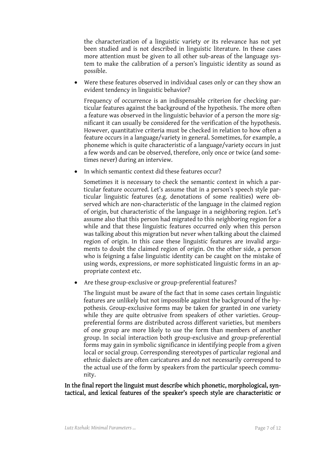the characterization of a linguistic variety or its relevance has not yet been studied and is not described in linguistic literature. In these cases more attention must be given to all other sub-areas of the language system to make the calibration of a person's linguistic identity as sound as possible.

Were these features observed in individual cases only or can they show an evident tendency in linguistic behavior?

Frequency of occurrence is an indispensable criterion for checking particular features against the background of the hypothesis. The more often a feature was observed in the linguistic behavior of a person the more significant it can usually be considered for the verification of the hypothesis. However, quantitative criteria must be checked in relation to how often a feature occurs in a language/variety in general. Sometimes, for example, a phoneme which is quite characteristic of a language/variety occurs in just a few words and can be observed, therefore, only once or twice (and sometimes never) during an interview.

• In which semantic context did these features occur?

Sometimes it is necessary to check the semantic context in which a particular feature occurred. Let's assume that in a person's speech style particular linguistic features (e.g. denotations of some realities) were observed which are non-characteristic of the language in the claimed region of origin, but characteristic of the language in a neighboring region. Let's assume also that this person had migrated to this neighboring region for a while and that these linguistic features occurred only when this person was talking about this migration but never when talking about the claimed region of origin. In this case these linguistic features are invalid arguments to doubt the claimed region of origin. On the other side, a person who is feigning a false linguistic identity can be caught on the mistake of using words, expressions, or more sophisticated linguistic forms in an appropriate context etc.

Are these group-exclusive or group-preferential features?

The linguist must be aware of the fact that in some cases certain linguistic features are unlikely but not impossible against the background of the hypothesis. Group-exclusive forms may be taken for granted in one variety while they are quite obtrusive from speakers of other varieties. Grouppreferential forms are distributed across different varieties, but members of one group are more likely to use the form than members of another group. In social interaction both group-exclusive and group-preferential forms may gain in symbolic significance in identifying people from a given local or social group. Corresponding stereotypes of particular regional and ethnic dialects are often caricatures and do not necessarily correspond to the actual use of the form by speakers from the particular speech community.

In the final report the linguist must describe which phonetic, morphological, syntactical, and lexical features of the speaker's speech style are characteristic or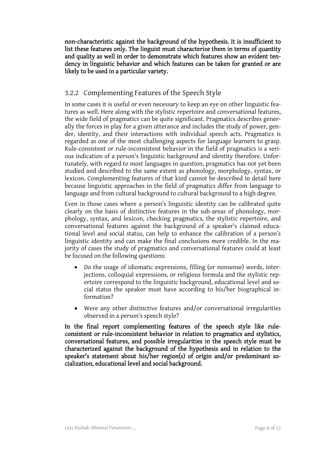non-characteristic against the background of the hypothesis. It is insufficient to list these features only. The linguist must characterize them in terms of quantity and quality as well in order to demonstrate which features show an evident tendency in linguistic behavior and which features can be taken for granted or are likely to be used in a particular variety.

### 3.2.2 Complementing Features of the Speech Style

In some cases it is useful or even necessary to keep an eye on other linguistic features as well. Here along with the stylistic repertoire and conversational features, the wide field of pragmatics can be quite significant. Pragmatics describes generally the forces in play for a given utterance and includes the study of power, gender, identity, and their interactions with individual speech acts. Pragmatics is regarded as one of the most challenging aspects for language learners to grasp. Rule-consistent or rule-inconsistent behavior in the field of pragmatics is a serious indication of a person's linguistic background and identity therefore. Unfortunately, with regard to most languages in question, pragmatics has not yet been studied and described to the same extent as phonology, morphology, syntax, or lexicon. Complementing features of that kind cannot be described in detail here because linguistic approaches in the field of pragmatics differ from language to language and from cultural background to cultural background to a high degree.

Even in those cases where a person's linguistic identity can be calibrated quite clearly on the basis of distinctive features in the sub-areas of phonology, morphology, syntax, and lexicon, checking pragmatics, the stylistic repertoire, and conversational features against the background of a speaker's claimed educational level and social status, can help to enhance the calibration of a person's linguistic identity and can make the final conclusions more credible. In the majority of cases the study of pragmatics and conversational features could at least be focused on the following questions:

- Do the usage of idiomatic expressions, filling (or nonsense) words, interjections, colloquial expressions, or religious formula and the stylistic repertoire correspond to the linguistic background, educational level and social status the speaker must have according to his/her biographical information?
- Were any other distinctive features and/or conversational irregularities observed in a person's speech style?

In the final report complementing features of the speech style like ruleconsistent or rule-inconsistent behavior in relation to pragmatics and stylistics, conversational features, and possible irregularities in the speech style must be characterized against the background of the hypothesis and in relation to the speaker's statement about his/her region(s) of origin and/or predominant socialization, educational level and social background.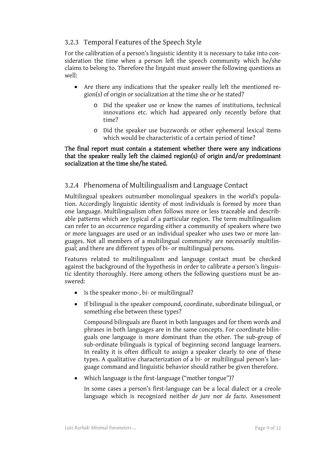### 3.2.3 Temporal Features of the Speech Style

For the calibration of a person's linguistic identity it is necessary to take into consideration the time when a person left the speech community which he/she claims to belong to. Therefore the linguist must answer the following questions as well:

- Are there any indications that the speaker really left the mentioned region(s) of origin or socialization at the time she or he stated?
	- o Did the speaker use or know the names of institutions, technical innovations etc. which had appeared only recently before that time?
	- o Did the speaker use buzzwords or other ephemeral lexical items which would be characteristic of a certain period of time?

#### The final report must contain a statement whether there were any indications that the speaker really left the claimed region(s) of origin and/or predominant socialization at the time she/he stated.

### 3.2.4 Phenomena of Multilingualism and Language Contact

Multilingual speakers outnumber monolingual speakers in the world's population. Accordingly linguistic identity of most individuals is formed by more than one language. Multilingualism often follows more or less traceable and describable patterns which are typical of a particular region. The term multilingualism can refer to an occurrence regarding either a community of speakers where two or more languages are used or an individual speaker who uses two or more languages. Not all members of a multilingual community are necessarily multilingual; and there are different types of bi- or multilingual persons.

Features related to multilingualism and language contact must be checked against the background of the hypothesis in order to calibrate a person's linguistic identity thoroughly. Here among others the following questions must be answered:

- Is the speaker mono-, bi- or multilingual?
- If bilingual is the speaker compound, coordinate, subordinate bilingual, or something else between these types?

Compound bilinguals are fluent in both languages and for them words and phrases in both languages are in the same concepts. For coordinate bilinguals one language is more dominant than the other. The sub-group of sub-ordinate bilinguals is typical of beginning second language learners. In reality it is often difficult to assign a speaker clearly to one of these types. A qualitative characterization of a bi- or multilingual person's language command and linguistic behavior should rather be given therefore.

• Which language is the first-language ("mother tongue")?

In some cases a person's first-language can be a local dialect or a creole language which is recognized neither *de jure* nor *de facto*. Assessment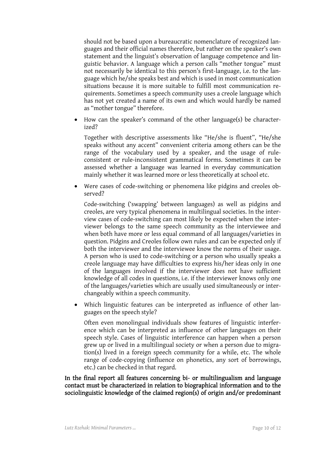should not be based upon a bureaucratic nomenclature of recognized languages and their official names therefore, but rather on the speaker's own statement and the linguist's observation of language competence and linguistic behavior. A language which a person calls "mother tongue" must not necessarily be identical to this person's first-language, i.e. to the language which he/she speaks best and which is used in most communication situations because it is more suitable to fulfill most communication requirements. Sometimes a speech community uses a creole language which has not yet created a name of its own and which would hardly be named as "mother tongue" therefore.

• How can the speaker's command of the other language(s) be characterized?

Together with descriptive assessments like "He/she is fluent", "He/she speaks without any accent" convenient criteria among others can be the range of the vocabulary used by a speaker, and the usage of ruleconsistent or rule-inconsistent grammatical forms. Sometimes it can be assessed whether a language was learned in everyday communication mainly whether it was learned more or less theoretically at school etc.

Were cases of code-switching or phenomena like pidgins and creoles observed?

Code-switching ('swapping' between languages) as well as pidgins and creoles, are very typical phenomena in multilingual societies. In the interview cases of code-switching can most likely be expected when the interviewer belongs to the same speech community as the interviewee and when both have more or less equal command of all languages/varieties in question. Pidgins and Creoles follow own rules and can be expected only if both the interviewer and the interviewee know the norms of their usage. A person who is used to code-switching or a person who usually speaks a creole language may have difficulties to express his/her ideas only in one of the languages involved if the interviewer does not have sufficient knowledge of all codes in questions, i.e. if the interviewer knows only one of the languages/varieties which are usually used simultaneously or interchangeably within a speech community.

• Which linguistic features can be interpreted as influence of other languages on the speech style?

Often even monolingual individuals show features of linguistic interference which can be interpreted as influence of other languages on their speech style. Cases of linguistic interference can happen when a person grew up or lived in a multilingual society or when a person due to migration(s) lived in a foreign speech community for a while, etc. The whole range of code-copying (influence on phonetics, any sort of borrowings, etc.) can be checked in that regard.

In the final report all features concerning bi- or multilingualism and language contact must be characterized in relation to biographical information and to the sociolinguistic knowledge of the claimed region(s) of origin and/or predominant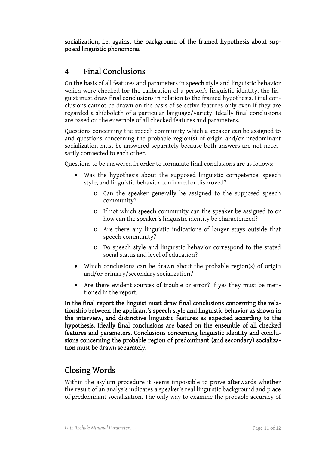socialization, i.e. against the background of the framed hypothesis about supposed linguistic phenomena.

## 4 Final Conclusions

On the basis of all features and parameters in speech style and linguistic behavior which were checked for the calibration of a person's linguistic identity, the linguist must draw final conclusions in relation to the framed hypothesis. Final conclusions cannot be drawn on the basis of selective features only even if they are regarded a shibboleth of a particular language/variety. Ideally final conclusions are based on the ensemble of all checked features and parameters.

Questions concerning the speech community which a speaker can be assigned to and questions concerning the probable region(s) of origin and/or predominant socialization must be answered separately because both answers are not necessarily connected to each other.

Questions to be answered in order to formulate final conclusions are as follows:

- Was the hypothesis about the supposed linguistic competence, speech style, and linguistic behavior confirmed or disproved?
	- o Can the speaker generally be assigned to the supposed speech community?
	- o If not which speech community can the speaker be assigned to or how can the speaker's linguistic identity be characterized?
	- o Are there any linguistic indications of longer stays outside that speech community?
	- o Do speech style and linguistic behavior correspond to the stated social status and level of education?
- Which conclusions can be drawn about the probable region(s) of origin and/or primary/secondary socialization?
- Are there evident sources of trouble or error? If yes they must be mentioned in the report.

In the final report the linguist must draw final conclusions concerning the relationship between the applicant's speech style and linguistic behavior as shown in the interview, and distinctive linguistic features as expected according to the hypothesis. Ideally final conclusions are based on the ensemble of all checked features and parameters. Conclusions concerning linguistic identity and conclusions concerning the probable region of predominant (and secondary) socialization must be drawn separately.

## Closing Words

Within the asylum procedure it seems impossible to prove afterwards whether the result of an analysis indicates a speaker's real linguistic background and place of predominant socialization. The only way to examine the probable accuracy of